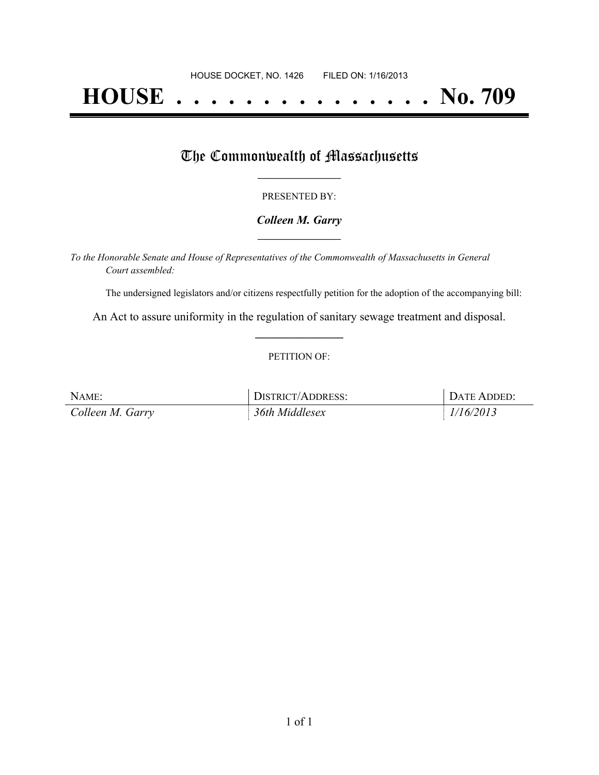# **HOUSE . . . . . . . . . . . . . . . No. 709**

### The Commonwealth of Massachusetts

#### PRESENTED BY:

#### *Colleen M. Garry* **\_\_\_\_\_\_\_\_\_\_\_\_\_\_\_\_\_**

*To the Honorable Senate and House of Representatives of the Commonwealth of Massachusetts in General Court assembled:*

The undersigned legislators and/or citizens respectfully petition for the adoption of the accompanying bill:

An Act to assure uniformity in the regulation of sanitary sewage treatment and disposal. **\_\_\_\_\_\_\_\_\_\_\_\_\_\_\_**

#### PETITION OF:

| NAME:            | DISTRICT/ADDRESS: | DATE ADDED: |
|------------------|-------------------|-------------|
| Colleen M. Garry | 36th Middlesex    | 1/16/2013   |